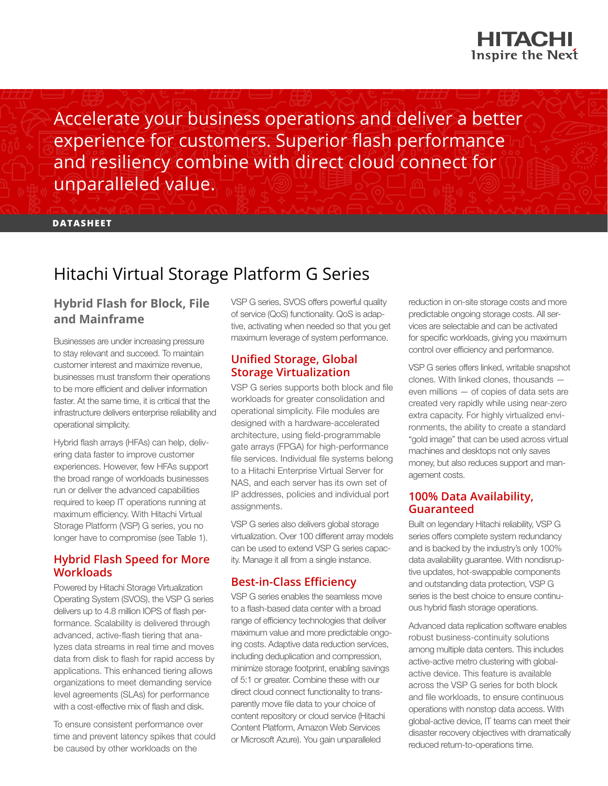

Accelerate your business operations and deliver a better experience for customers. Superior flash performance and resiliency combine with direct cloud connect for unparalleled value.

**DATASHEET**

# Hitachi Virtual Storage Platform G Series

# **Hybrid Flash for Block, File and Mainframe**

Businesses are under increasing pressure to stay relevant and succeed. To maintain customer interest and maximize revenue, businesses must transform their operations to be more efficient and deliver information faster. At the same time, it is critical that the infrastructure delivers enterprise reliability and operational simplicity.

Hybrid flash arrays (HFAs) can help, delivering data faster to improve customer experiences. However, few HFAs support the broad range of workloads businesses run or deliver the advanced capabilities required to keep IT operations running at maximum efficiency. With Hitachi Virtual Storage Platform (VSP) G series, you no longer have to compromise (see Table 1).

## **Hybrid Flash Speed for More Workloads**

Powered by Hitachi Storage Virtualization Operating System (SVOS), the VSP G series delivers up to 4.8 million IOPS of flash performance. Scalability is delivered through advanced, active-flash tiering that analyzes data streams in real time and moves data from disk to flash for rapid access by applications. This enhanced tiering allows organizations to meet demanding service level agreements (SLAs) for performance with a cost-effective mix of flash and disk.

To ensure consistent performance over time and prevent latency spikes that could be caused by other workloads on the

VSP G series, SVOS offers powerful quality of service (QoS) functionality. QoS is adaptive, activating when needed so that you get maximum leverage of system performance.

## **Unified Storage, Global Storage Virtualization**

VSP G series supports both block and file workloads for greater consolidation and operational simplicity. File modules are designed with a hardware-accelerated architecture, using field-programmable gate arrays (FPGA) for high-performance file services. Individual file systems belong to a Hitachi Enterprise Virtual Server for NAS, and each server has its own set of IP addresses, policies and individual port assignments.

VSP G series also delivers global storage virtualization. Over 100 different array models can be used to extend VSP G series capacity. Manage it all from a single instance.

## **Best-in-Class Efficiency**

VSP G series enables the seamless move to a flash-based data center with a broad range of efficiency technologies that deliver maximum value and more predictable ongoing costs. Adaptive data reduction services, including deduplication and compression, minimize storage footprint, enabling savings of 5:1 or greater. Combine these with our direct cloud connect functionality to transparently move file data to your choice of content repository or cloud service (Hitachi Content Platform, Amazon Web Services or Microsoft Azure). You gain unparalleled

reduction in on-site storage costs and more predictable ongoing storage costs. All services are selectable and can be activated for specific workloads, giving you maximum control over efficiency and performance.

VSP G series offers linked, writable snapshot clones. With linked clones, thousands even millions — of copies of data sets are created very rapidly while using near-zero extra capacity. For highly virtualized environments, the ability to create a standard "gold image" that can be used across virtual machines and desktops not only saves money, but also reduces support and management costs.

## **100% Data Availability, Guaranteed**

Built on legendary Hitachi reliability, VSP G series offers complete system redundancy and is backed by the industry's only 100% data availability guarantee. With nondisruptive updates, hot-swappable components and outstanding data protection, VSP G series is the best choice to ensure continuous hybrid flash storage operations.

Advanced data replication software enables robust business-continuity solutions among multiple data centers. This includes active-active metro clustering with globalactive device. This feature is available across the VSP G series for both block and file workloads, to ensure continuous operations with nonstop data access. With global-active device, IT teams can meet their disaster recovery objectives with dramatically reduced return-to-operations time.